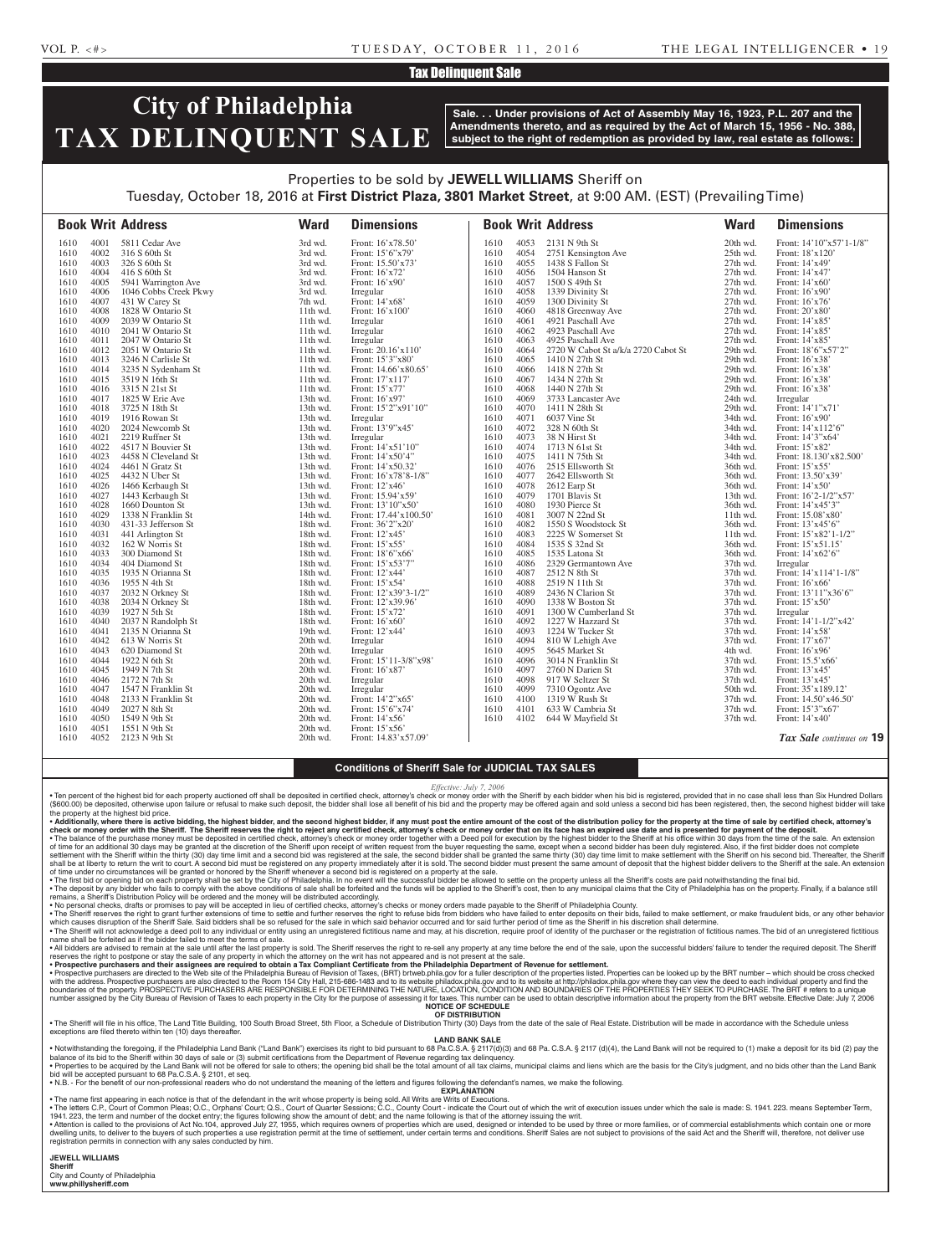#### Tax Delinquent Sale

# **City of Philadelphia TAX DELINQUENT SALE**

**Sale. . . Under provisions of Act of Assembly May 16, 1923, P.L. 207 and the Amendments thereto, and as required by the Act of March 15, 1956 - No. 388, subject to the right of redemption as provided by law, real estate as follows:**

### Properties to be sold by **JEWELL WILLIAMS** Sheriff on Tuesday, October 18, 2016 at **First District Plaza, 3801 Market Street**, at 9:00 AM. (EST) (Prevailing Time)

|              |              | <b>Book Writ Address</b>                | <b>Ward</b>          | <b>Dimensions</b>                |              |              | <b>Book Writ Address</b>                  | <b>Ward</b>          | <b>Dimensions</b>                      |
|--------------|--------------|-----------------------------------------|----------------------|----------------------------------|--------------|--------------|-------------------------------------------|----------------------|----------------------------------------|
| 1610         | 4001         | 5811 Cedar Ave                          | 3rd wd.              | Front: 16'x78.50'                | 1610         | 4053         | 2131 N 9th St                             | 20th wd.             | Front: 14'10"x57'1-1/8"                |
| 1610         | 4002         | 316 S 60th St                           | 3rd wd.              | Front: 15'6"x79"                 | 1610         | 4054         | 2751 Kensington Ave                       | 25th wd.             | Front: 18'x120'                        |
| 1610         | 4003         | 326 S 60th St                           | 3rd wd.              | Front: 15.50'x73'                | 1610         | 4055         | 1438 S Fallon St                          | 27th wd.             | Front: 14'x49'                         |
| 1610         | 4004         | 416 S 60th St                           | 3rd wd.              | Front: 16'x72'                   | 1610         | 4056         | 1504 Hanson St                            | 27th wd.             | Front: 14'x47'                         |
| 1610         | 4005         | 5941 Warrington Ave                     | 3rd wd.              | Front: 16'x90'                   | 1610         | 4057         | 1500 S 49th St                            | 27th wd.             | Front: 14'x60'                         |
| 1610         | 4006         | 1046 Cobbs Creek Pkwy                   | 3rd wd.              | Irregular                        | 1610         | 4058         | 1339 Divinity St                          | 27th wd.             | Front: 16'x90'                         |
| 1610         | 4007         | 431 W Carey St                          | 7th wd.              | Front: 14'x68'                   | 1610         | 4059         | 1300 Divinity St                          | 27th wd.             | Front: 16'x76'                         |
| 1610         | 4008         | 1828 W Ontario St                       | $11th$ wd.           | Front: 16'x100'                  | 1610         | 4060         | 4818 Greenway Ave                         | 27th wd.             | Front: 20'x80'                         |
| 1610         | 4009         | 2039 W Ontario St                       | 11th wd.             | Irregular                        | 1610         | 4061         | 4921 Paschall Ave                         | 27th wd.             | Front: 14'x85'                         |
| 1610         | 4010         | 2041 W Ontario St                       | $11th$ wd.           | Irregular                        | 1610         | 4062         | 4923 Paschall Ave                         | 27th wd.             | Front: 14'x85'                         |
| 1610         | 4011         | 2047 W Ontario St                       | 11th wd.             | Irregular                        | 1610         | 4063         | 4925 Paschall Ave                         | 27th wd.             | Front: 14'x85'                         |
| 1610         | 4012         | 2051 W Ontario St                       | 11th wd.             | Front: 20.16'x110'               | 1610         | 4064         | 2720 W Cabot St a/k/a 2720 Cabot St       | 29th wd.             | Front: 18'6"x57'2"                     |
| 1610         | 4013         | 3246 N Carlisle St                      | 11th wd.             | Front: 15'3"x80'                 | 1610         | 4065         | 1410 N 27th St                            | 29th wd.             | Front: 16'x38'                         |
| 1610         | 4014         | 3235 N Sydenham St                      | 11th wd.             | Front: 14.66'x80.65'             | 1610         | 4066         | 1418 N 27th St                            | 29th wd.             | Front: 16'x38'                         |
| 1610         | 4015         | 3519 N 16th St                          | 11th wd.             | Front: 17'x117'                  | 1610         | 4067         | 1434 N 27th St                            | 29th wd.             | Front: 16'x38'                         |
| 1610         | 4016         | 3315 N 21st St                          | 11th wd.             | Front: 15'x77'                   | 1610         | 4068         | 1440 N 27th St                            | 29th wd.             | Front: 16'x38'                         |
| 1610         | 4017         | 1825 W Erie Ave                         | 13th wd.             | Front: 16'x97'                   | 1610         | 4069         | 3733 Lancaster Ave                        | 24th wd.             | Irregular                              |
| 1610         | 4018         | 3725 N 18th St                          | 13th wd.             | Front: 15'2"x91'10"              | 1610         | 4070         | 1411 N 28th St                            | 29th wd.             | Front: 14'1"x71'                       |
| 1610         | 4019         | 1916 Rowan St                           | 13th wd.             | Irregular                        | 1610         | 4071         | 6037 Vine St                              | 34th wd.             | Front: 16'x90'                         |
| 1610         | 4020         | 2024 Newcomb St                         | 13th wd.             | Front: 13'9"x45'                 | 1610         | 4072         | 328 N 60th St                             | 34th wd.             | Front: 14'x112'6"                      |
| 1610         | 4021         | 2219 Ruffner St                         | 13th wd.             | Irregular                        | 1610         | 4073         | 38 N Hirst St                             | 34th wd.             | Front: 14'3"x64'                       |
| 1610         | 4022         | 4517 N Bouvier St                       | 13th wd.             | Front: 14'x51'10"                | 1610         | 4074         | 1713 N 61st St                            | 34th wd.             | Front: 15'x82'                         |
| 1610         | 4023         | 4458 N Cleveland St                     | 13th wd.             | Front: 14'x50'4"                 | 1610         | 4075         | 1411 N 75th St                            | 34th wd.             | Front: 18.130'x82.500'                 |
| 1610         | 4024         | 4461 N Gratz St                         | 13th wd.             | Front: 14'x50.32'                | 1610         | 4076         | 2515 Ellsworth St                         | 36th wd.             | Front: 15'x55                          |
| 1610         | 4025         | 4432 N Uber St                          | 13th wd.             | Front: 16'x78'8-1/8"             | 1610         | 4077         | 2642 Ellsworth St                         | 36th wd.             | Front: 13.50'x39'                      |
| 1610         | 4026         | 1466 Kerbaugh St                        | 13th wd.             | Front: 12'x46'                   | 1610         | 4078         | 2612 Earp St                              | 36th wd.             | Front: 14'x50'                         |
| 1610         | 4027         | 1443 Kerbaugh St                        | 13th wd.             | Front: 15.94'x59'                | 1610         | 4079         | 1701 Blavis St                            | 13th wd.             | Front: 16'2-1/2"x57'                   |
| 1610         | 4028         | 1660 Dounton St                         | 13th wd.             | Front: 13'10"x50"                | 1610         | 4080         | 1930 Pierce St                            | 36th wd.             | Front: 14'x45'3"                       |
| 1610         | 4029         | 1338 N Franklin St                      | 14th wd.             | Front: 17.44'x100.50'            | 1610         | 4081         | 3007 N 22nd St                            | 11th wd.             | Front: 15.08'x80'                      |
| 1610         | 4030         | 431-33 Jefferson St                     | 18th wd.             | Front: 36'2"x20"                 | 1610         | 4082         | 1550 S Woodstock St                       | 36th wd.             | Front: 13'x45'6"                       |
| 1610         | 4031         | 441 Arlington St                        | 18th wd.             | Front: 12'x45'                   | 1610         | 4083         | 2225 W Somerset St                        | 11th wd.             | Front: 15'x82'1-1/2"                   |
| 1610         | 4032         | 162 W Norris St                         | 18th wd.             | Front: 15'x55'                   | 1610         | 4084         | 1535 S 32nd St                            | 36th wd.             | Front: 15'x51.15'                      |
| 1610         | 4033         | 300 Diamond St                          | 18th wd.             | Front: 18'6"x66"                 | 1610         | 4085         | 1535 Latona St                            | 36th wd.             | Front: $14'x62'6'$                     |
| 1610         | 4034         | 404 Diamond St                          | 18th wd.             | Front: 15'x53'7"                 | 1610         | 4086         | 2329 Germantown Ave                       | 37th wd.             | Irregular                              |
| 1610         | 4035         | 1935 N Orianna St                       | 18th wd.             | Front: 12'x44'                   | 1610         | 4087         | 2512 N 8th St                             | 37th wd.             | Front: 14'x114'1-1/8"                  |
| 1610         | 4036<br>4037 | 1955 N 4th St                           | 18th wd.             | Front: 15'x54'                   | 1610         | 4088<br>4089 | 2519 N 11th St                            | 37th wd.             | Front: 16'x66'                         |
| 1610<br>1610 | 4038         | 2032 N Orkney St                        | 18th wd.<br>18th wd. | Front: 12'x39'3-1/2"             | 1610<br>1610 | 4090         | 2436 N Clarion St<br>1338 W Boston St     | 37th wd.<br>37th wd. | Front: 13'11"x36'6"<br>Front: 15'x50'  |
|              | 4039         | 2034 N Orkney St<br>1927 N 5th St       |                      | Front: 12'x39.96'                |              | 4091         |                                           |                      |                                        |
| 1610<br>1610 | 4040         |                                         | 18th wd.<br>18th wd. | Front: 15'x72'<br>Front: 16'x60' | 1610<br>1610 | 4092         | 1300 W Cumberland St<br>1227 W Hazzard St | 37th wd.<br>37th wd. | Irregular                              |
| 1610         | 4041         | 2037 N Randolph St<br>2135 N Orianna St | 19th wd.             | Front: 12'x44'                   | 1610         | 4093         | 1224 W Tucker St                          | 37th wd.             | Front: 14'1-1/2"x42'<br>Front: 14'x58' |
| 1610         | 4042         | 613 W Norris St                         | 20th wd.             | Irregular                        | 1610         | 4094         | 810 W Lehigh Ave                          | 37th wd.             | Front: 17'x67                          |
| 1610         | 4043         | 620 Diamond St                          | 20th wd.             | Irregular                        | 1610         | 4095         | 5645 Market St                            | 4th wd.              | Front: 16'x96'                         |
| 1610         | 4044         | 1922 N 6th St                           | 20th wd.             | Front: 15'11-3/8"x98'            | 1610         | 4096         | 3014 N Franklin St                        | 37th wd.             | Front: 15.5'x66'                       |
| 1610         | 4045         | 1949 N 7th St                           | 20th wd.             | Front: 16'x87'                   | 1610         | 4097         | 2760 N Darien St                          | 37th wd.             | Front: 13'x45'                         |
| 1610         | 4046         | 2172 N 7th St                           | 20th wd.             | Irregular                        | 1610         | 4098         | 917 W Seltzer St                          | 37th wd.             | Front: 13'x45'                         |
| 1610         | 4047         | 1547 N Franklin St                      | 20th wd.             | Irregular                        | 1610         | 4099         | 7310 Ogontz Ave                           | 50th wd.             | Front: 35'x189.12'                     |
| 1610         | 4048         | 2133 N Franklin St                      | 20th wd.             | Front: 14'2"x65'                 | 1610         | 4100         | 1319 W Rush St                            | 37th wd.             | Front: 14.50'x46.50'                   |
| 1610         | 4049         | 2027 N 8th St                           | 20th wd.             | Front: 15'6"x74'                 | 1610         | 4101         | 633 W Cambria St                          | 37th wd.             | Front: 15'3"x67"                       |
| 1610         | 4050         | 1549 N 9th St                           | 20th wd.             | Front: 14'x56'                   | 1610         | 4102         | 644 W Mayfield St                         | 37th wd.             | Front: 14'x40'                         |
| 1610         | 4051         | 1551 N 9th St                           | 20th wd.             | Front: 15'x56'                   |              |              |                                           |                      |                                        |
| 1610         | 4052         | 2123 N 9th St                           | 20th wd.             | Front: 14.83'x57.09'             |              |              |                                           |                      | Tax Sale continues on 19               |
|              |              |                                         |                      |                                  |              |              |                                           |                      |                                        |

#### **Conditions of Sheriff Sale for JUDICIAL TAX SALES**

*Effective: July* 

• Ten percent of the highest bid for each property auctioned off shall be deposited in certified check, attorney's check or money order with the Sheriff by each bidder when his bid is registered, provided that in no case s (\$600.00) be deposited, otherwise upon failure or refusal to make such deposit, the bidder shall lose all benefit of his bid and the property may be offered again and sold unless a second bid has been registered, then, the the property at the highest bid price.

• Additionally, where there is active bidding, the highest bidder, and the second highest bidder, if any must post the entire amount of the cost of the distribution policy for the property at the time of sale by certified ∙ The balance of the purchase money must be deposited in certified check, attorney's check or money order together with a Deed poll for execution by the highest bidder to the Sheriff at his office within 30 days from the shall be at liberty to return the writ to court. A second bid must be registered on any property immediately after it is sold. The second bidder must present the same amount of deposit that the highest bidder delivers to t

• The first bid or opening bid on each property shall be set by the City of Philadelphia. In no event will the successful bidder be allowed to settle on the property unless all the Sheriff's costs are paid not withstanding

remains, a Sheriff's Distribution Policy will be ordered and the money will be distributed accordingly.<br>• No personal checks, drament of the secepted in lieu of certical on the secepted in lieu of certified checks, attorn which causes disruption of the Sheriff Sale. Said bidders shall be so refused for the sale in which said behavior occurred and for said further period of time as the Sheriff in his discretion shall determine.<br>• The Sheriff name shall be forfeited as if the bidder failed to meet the terms of sale.

• All bidders are advised to remain at the sale until after the last property is sold. The Sheriff reserves the right to re-sell any property at any time before the end of the sale, upon the successful bidders' failure to

• **Prospective purchasers and their assignees are required to obtain a Tax Compliant Certificate from the Philadelphia Department of Revenue for settlement.** • Prospective purchasers are directed to the Web site of the Philadelphia Bureau of Revision of Taxes, (BRT) brtweb.phila.gov for a fuller description of the properties listed. Properties can be looked up by the BRT number boundaries of the property. PROSPECTIVE PURCHASERS ARE RESPONSIBLE FOR DETERMINING THE NATURE, LOCATION, CONDITION AND BOUNDARIES OF THE PROPERTIES THEY SEEK TO PURCHASE. The BRT # refers to a unique number assigned by the City Bureau of Revision of Taxes to each property in the City for the purpose of assessing it for taxes. This number can be used to obtain descriptive information about the property from the BRT webs **NOTICE OF SCHEDULE**

**OF DISTRIBUTION** • The Sheriff will file in his office, The Land Title Building, 100 South Broad Street, 5th Floor, a Schedule of Distribution Thirty (30) Days from the date of the sale of Real Estate. Distribution will be made in accordan

**LAND BANK SALE**

foregoing, if the Philadelphia Land Bank ("Land Bank") exercises its right to bid pursuant to 68 Pa.C.S.A. § 2117(d)(3) and 68 Pa.C.S.A. § 2117 (d)(4), the Land Bank will not be required to (1) make a deposit for its bid ( balance of its bid to the Sheriff within 30 days of sale or (3) submit certifications from the Department of Revenue regarding tax delinquency. . Properties to be acquired by the Land Bank will not be offered for sale to others; the opening bid shall be the total amount of all tax claims, municipal claims and liens which are the basis for the City's judgment, and bid will be accepted pursuant to 68 Pa.C.S.A. § 2101, et seq.

• N.B. - For the benefit of our non-professional readers who do not understand the meaning of the letters and figures following the defendant's names, we make the following. **EXPLANATION** 

• The name first appearing in each notice is that of the defendant in the writ whose property is being sold. All Writs are Writs of Executions.<br>• The letters C.P., Court of Common Pleas to a broth and the writ of Diplans'

• Attention is called to the provisions of Act No.104, approved July 27, 1955, which requires owners of properties which are used, designed or intended to be used by three or more families, or of commercial establishments registration permits in connection with any sales conducted by him.

**JEWELL WILLIAMS Sheriff**  City and County of Philadelphia

**www.phillysheriff.com**